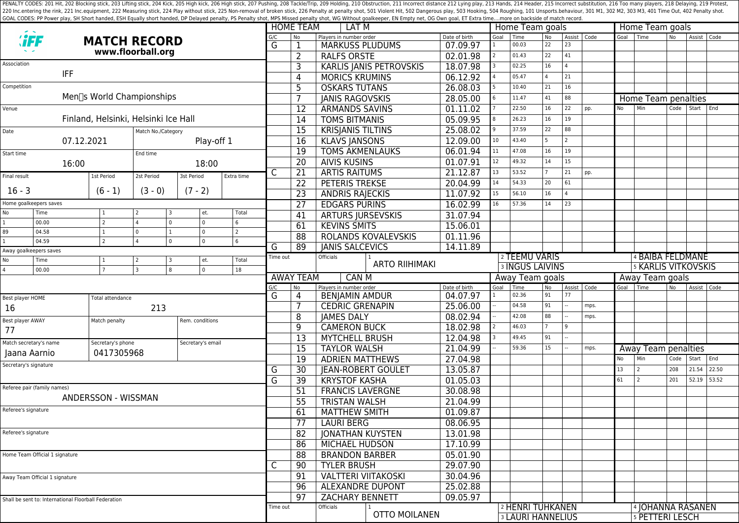PENALTY CODES: 201 Hit, 202 Blocking stick, 203 Lifting stick, 203 Kick, 205 High kick, 205 High kick, 205 High stick, 206 High stick, 207 Pushing, 208 Tackle/Trip, 209 Holding, 210 Obstruction, 211 Incorrect distance 212 220 Inc.entering the rink, 221 Inc.equipment, 222 Measuring stick, 224 Play without stick, 225 Non-removal of broken stick, 225 Poralty shot, 501 Violent Hit, 502 Dangerous play, 503 Hooking, 504 Roughing, 101 Unsports.beh GOAL CODES: PP Power play, SH Short handed, ESH Equally short handed, DP Delayed penalty, PS Penalty shot, MPS Missed penalty shot, WG Without goalkeeper, EN Empty net, OG Own goal, ET Extra time....more on backside of mat

|                                  |                                                      |                                      |                            |                                  | <b>HOME TEAM</b>    | LAT <sub>M</sub> |                                  |                                             |                                | Home Team goals |                        |                          |                | Home Team goals   |      |                  |                            |           |             |           |  |  |
|----------------------------------|------------------------------------------------------|--------------------------------------|----------------------------|----------------------------------|---------------------|------------------|----------------------------------|---------------------------------------------|--------------------------------|-----------------|------------------------|--------------------------|----------------|-------------------|------|------------------|----------------------------|-----------|-------------|-----------|--|--|
| <b><i>'iFF</i></b>               |                                                      |                                      | <b>MATCH RECORD</b>        |                                  |                     |                  |                                  | Players in number order                     |                                | Date of birth   | Goal                   | Time                     | <b>No</b>      | Assist   Code     |      | Goal             | Time                       | No        | Assist Code |           |  |  |
|                                  |                                                      |                                      |                            |                                  |                     | G                | 1                                | <b>MARKUSS PLUDUMS</b>                      |                                | 07.09.97        |                        | 00.03                    | 22             | 23                |      |                  |                            |           |             |           |  |  |
| www.floorball.org<br>Association |                                                      |                                      |                            |                                  |                     |                  | $\overline{2}$                   | <b>RALFS ORSTE</b>                          |                                | 02.01.98        |                        | 01.43                    | 22             | 41                |      |                  |                            |           |             |           |  |  |
|                                  | <b>IFF</b>                                           |                                      |                            |                                  |                     |                  | 3                                |                                             | <b>KARLIS JANIS PETROVSKIS</b> | 18.07.98        |                        | 02.25                    | 16             | $\Delta$          |      |                  |                            |           |             |           |  |  |
|                                  |                                                      |                                      |                            |                                  |                     |                  | 4                                | <b>MORICS KRUMINS</b>                       |                                | 06.12.92        |                        | 05.47                    | $\overline{a}$ | 21                |      |                  |                            |           |             |           |  |  |
| Competition                      |                                                      |                                      |                            |                                  |                     |                  | 5                                | <b>OSKARS TUTANS</b>                        |                                | 26.08.03        |                        | 10.40                    | 21             | 16                |      |                  |                            |           |             |           |  |  |
|                                  |                                                      | Men∏s World Championships            |                            |                                  |                     |                  | 7                                | <b>JANIS RAGOVSKIS</b>                      |                                | 28.05.00        |                        | 11.47                    | 41             | 88                |      |                  | Home Team penalties        |           |             |           |  |  |
| Venue                            |                                                      |                                      |                            |                                  |                     |                  | 12                               | <b>ARMANDS SAVINS</b>                       |                                | 01.11.02        |                        | 22.50                    | 16             | 22                | pp.  | No               | Min                        | Code      |             | Start End |  |  |
|                                  |                                                      | Finland, Helsinki, Helsinki Ice Hall |                            |                                  |                     |                  | $\overline{14}$                  | <b>TOMS BITMANIS</b>                        |                                | 05.09.95        |                        | 26.23                    | 16             | 19                |      |                  |                            |           |             |           |  |  |
| Date                             |                                                      |                                      | Match No./Category         |                                  |                     |                  | $\overline{15}$                  | <b>KRISJANIS TILTINS</b>                    |                                | 25.08.02        |                        | 37.59                    | 22             | 88                |      |                  |                            |           |             |           |  |  |
|                                  |                                                      | 07.12.2021                           |                            | Play-off 1                       |                     |                  | 16                               | <b>KLAVS JANSONS</b>                        |                                | 12.09.00        | 10                     | 43.40                    | 5              | $\mathcal{P}$     |      |                  |                            |           |             |           |  |  |
| Start time                       |                                                      |                                      | End time                   |                                  |                     |                  | $\overline{19}$                  | <b>TOMS AKMENLAUKS</b>                      |                                | 06.01.94        | 11                     | 47.08                    | 16             | 19                |      |                  |                            |           |             |           |  |  |
|                                  | 16:00                                                |                                      |                            | 18:00                            |                     |                  | $\overline{20}$                  | <b>AIVIS KUSINS</b>                         | 01.07.91                       | 12              | 49.32                  | 14                       | 15             |                   |      |                  |                            |           |             |           |  |  |
| Final result                     |                                                      | 1st Period                           | 2st Period                 | 3st Period                       | Extra time          | C                | 21                               | <b>ARTIS RAITUMS</b>                        |                                | 21.12.87        | 13                     | 53.52                    |                | 21                | pp.  |                  |                            |           |             |           |  |  |
|                                  |                                                      |                                      |                            |                                  |                     |                  | 22                               | <b>PETERIS TREKSE</b>                       |                                | 20.04.99        | 14                     | 54.33                    | 20             | 61                |      |                  |                            |           |             |           |  |  |
| $16 - 3$                         |                                                      | $(6 - 1)$                            | $(3 - 0)$                  | $(7 - 2)$                        |                     |                  | 23                               | <b>ANDRIS RAJECKIS</b>                      |                                | 11.07.92        | 15                     | 56.10                    | 16             |                   |      |                  |                            |           |             |           |  |  |
|                                  | Home goalkeepers saves                               |                                      |                            |                                  |                     |                  | 27                               | <b>EDGARS PURINS</b>                        |                                | 16.02.99        | 16                     | 57.36                    | 14             | 23                |      |                  |                            |           |             |           |  |  |
| No                               | Time                                                 | 1                                    | 2<br>3                     | et.                              | Total               |                  | 41                               | <b>ARTURS JURSEVSKIS</b>                    | 31.07.94                       |                 |                        |                          |                |                   |      |                  |                            |           |             |           |  |  |
| $\mathbf{1}$                     | 00.00<br>04.58                                       | $\overline{2}$                       | $\Omega$<br>l o            | $\overline{0}$<br>$\overline{0}$ | 6<br>$\overline{2}$ |                  | 61                               | <b>KEVINS SMITS</b>                         |                                | 15.06.01        |                        |                          |                |                   |      |                  |                            |           |             |           |  |  |
| 89<br>$\mathbf{1}$               | 04.59                                                | $\mathcal{P}$                        | $\overline{a}$<br>$\Omega$ | $\overline{0}$                   | 6                   |                  | 88                               | ROLANDS KOVALEVSKIS                         |                                | 01.11.96        |                        |                          |                |                   |      |                  |                            |           |             |           |  |  |
| Away goalkeepers saves           |                                                      |                                      |                            |                                  |                     | G                | 89                               | <b>JANIS SALCEVICS</b>                      |                                | 14.11.89        |                        |                          |                |                   |      |                  |                            |           |             |           |  |  |
| No                               | Time                                                 |                                      | 2<br>3                     | et.                              | Total               | Time out         |                                  | Officials                                   |                                |                 | 2 TEEMU VARIS          |                          |                |                   |      | 4 BAIBA FELDMANE |                            |           |             |           |  |  |
| $\overline{4}$                   | $\overline{0}$<br>  २<br>8<br>18<br>00.00            |                                      |                            |                                  |                     |                  |                                  |                                             | <b>ARTO RIIHIMAKI</b>          |                 | <b>3 INGUS LAIVINS</b> |                          |                |                   |      |                  | <b>5 KARLIS VITKOVSKIS</b> |           |             |           |  |  |
|                                  |                                                      |                                      |                            |                                  |                     |                  | <b>AWAY TEAM</b><br><b>CAN M</b> |                                             |                                |                 |                        | Away Team goals          |                |                   |      | Away Team goals  |                            |           |             |           |  |  |
|                                  |                                                      |                                      |                            |                                  |                     | G/C<br>G         | No<br>4                          | Players in number order                     |                                | Date of birth   | Goal                   | Time                     | <b>No</b>      | Assist Code<br>77 |      | Goal             | Time                       | <b>No</b> | Assist Code |           |  |  |
| Best player HOME                 |                                                      | Total attendance                     |                            |                                  |                     |                  |                                  | <b>BENJAMIN AMDUR</b>                       |                                | 04.07.97        |                        | 02.36                    | 91             |                   |      |                  |                            |           |             |           |  |  |
| 16                               |                                                      |                                      | 213                        |                                  |                     |                  |                                  | <b>CEDRIC GRENAPIN</b>                      | 25.06.00                       |                 | 04.58                  | 91                       |                | mps.              |      |                  |                            |           |             |           |  |  |
| Best player AWAY                 |                                                      | Match penalty                        |                            |                                  | Rem. conditions     |                  |                                  | <b>JAMES DALY</b>                           |                                | 08.02.94        |                        | 42.08                    | 88             |                   | mps. |                  |                            |           |             |           |  |  |
| 77                               |                                                      |                                      |                            |                                  |                     |                  | 9                                | <b>CAMERON BUCK</b>                         |                                | 18.02.98        |                        | 46.03                    |                | $\mathbf{q}$      |      |                  |                            |           |             |           |  |  |
|                                  | Match secretary's name                               | Secretary's phone                    |                            | Secretary's email                |                     |                  | 13                               | <b>MYTCHELL BRUSH</b>                       |                                | 12.04.98        |                        | 49.45                    | 91             |                   |      |                  |                            |           |             |           |  |  |
|                                  | Jaana Aarnio                                         | 0417305968                           |                            |                                  |                     |                  | 15                               | <b>TAYLOR WALSH</b>                         |                                | 21.04.99        |                        | 59.36                    | 15             |                   | mps. |                  | Away Team penalties        |           |             |           |  |  |
|                                  | Secretary's signature                                |                                      |                            |                                  |                     | G                | 19                               | <b>ADRIEN MATTHEWS</b>                      |                                | 27.04.98        |                        |                          |                |                   |      | <b>No</b>        | Min                        | Code      | Start       | End       |  |  |
|                                  |                                                      |                                      |                            |                                  |                     |                  | 30                               | <b>JEAN-ROBERT GOULET</b>                   |                                | 13.05.87        |                        |                          |                |                   |      | 13               | $\overline{2}$             | 208       | 21.54       | 22.50     |  |  |
| Referee pair (family names)      |                                                      |                                      |                            |                                  |                     |                  | $\overline{39}$                  | <b>KRYSTOF KASHA</b>                        |                                | 01.05.03        |                        |                          |                |                   |      | 61               | $\overline{2}$             | 201       | 52.19       | 53.52     |  |  |
|                                  |                                                      | <b>ANDERSSON - WISSMAN</b>           |                            |                                  |                     |                  | 51                               | <b>FRANCIS LAVERGNE</b>                     |                                | 30.08.98        |                        |                          |                |                   |      |                  |                            |           |             |           |  |  |
|                                  |                                                      |                                      |                            |                                  |                     |                  | 55                               | <b>TRISTAN WALSH</b>                        |                                | 21.04.99        |                        |                          |                |                   |      |                  |                            |           |             |           |  |  |
| Referee's signature              |                                                      |                                      |                            |                                  |                     |                  | 61                               | <b>MATTHEW SMITH</b>                        |                                | 01.09.87        |                        |                          |                |                   |      |                  |                            |           |             |           |  |  |
|                                  |                                                      |                                      |                            |                                  |                     |                  | 77                               | <b>LAURI BERG</b>                           |                                | 08.06.95        |                        |                          |                |                   |      |                  |                            |           |             |           |  |  |
| Referee's signature              |                                                      |                                      |                            |                                  |                     |                  | 82                               | <b>JONATHAN KUYSTEN</b>                     |                                | 13.01.98        |                        |                          |                |                   |      |                  |                            |           |             |           |  |  |
|                                  |                                                      |                                      |                            |                                  |                     |                  | 86                               | MICHAEL HUDSON                              |                                | 17.10.99        |                        |                          |                |                   |      |                  |                            |           |             |           |  |  |
| Home Team Official 1 signature   |                                                      |                                      |                            |                                  |                     |                  | 88                               | <b>BRANDON BARBER</b><br><b>TYLER BRUSH</b> |                                | 05.01.90        |                        |                          |                |                   |      |                  |                            |           |             |           |  |  |
|                                  |                                                      |                                      |                            |                                  |                     | C                | 90                               |                                             |                                | 29.07.90        |                        |                          |                |                   |      |                  |                            |           |             |           |  |  |
|                                  | Away Team Official 1 signature                       |                                      |                            |                                  |                     |                  | 91                               | <b>VALTTERI VIITAKOSKI</b>                  |                                | 30.04.96        |                        |                          |                |                   |      |                  |                            |           |             |           |  |  |
|                                  |                                                      |                                      |                            |                                  |                     |                  | 96                               | <b>ALEXANDRE DUPONT</b>                     |                                | 25.02.88        |                        |                          |                |                   |      |                  |                            |           |             |           |  |  |
|                                  | Shall be sent to: International Floorball Federation |                                      |                            |                                  |                     |                  | 97                               | <b>ZACHARY BENNETT</b>                      |                                | 09.05.97        |                        |                          |                |                   |      |                  |                            |           |             |           |  |  |
|                                  |                                                      |                                      |                            |                                  |                     | Time out         |                                  | Officials                                   | <b>OTTO MOILANEN</b>           |                 |                        | 2 HENRI TUHKANEN         |                |                   |      |                  | 4 JOHANNA RASANEN          |           |             |           |  |  |
|                                  |                                                      |                                      |                            |                                  |                     |                  |                                  |                                             |                                |                 |                        | <b>3 LAURI HANNELIUS</b> |                |                   |      |                  | 5 PETTERI LESCH            |           |             |           |  |  |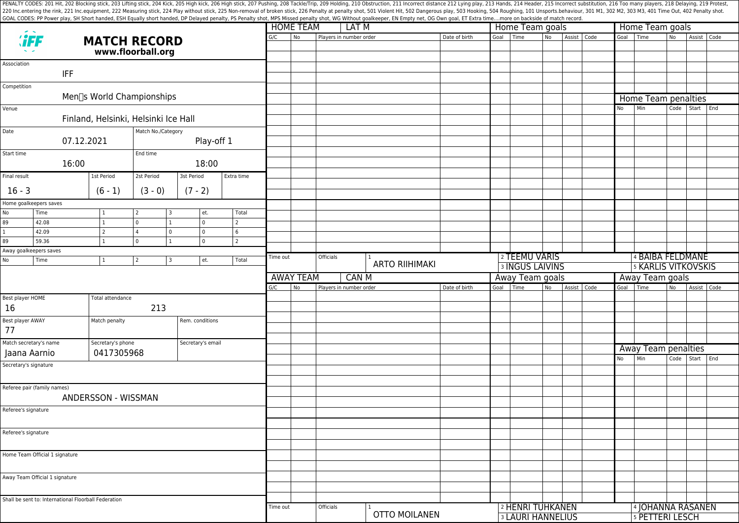PENALTY CODES: 201 Hit, 202 Blocking stick, 203 Lifting stick, 204 Kick, 204 Kick, 205 High kick, 204 Kick, 205 High kick, 206 High stick, 206 High stick, 206 High stick, 206 High stick, 207 Pushing, 208 Tackle/Trip, 209 H 220 Inc.entering the rink, 221 Inc.equipment, 222 Measuring stick, 224 Play without stick, 225 Non-removal of broken stick, 225 Poralty shot, 501 Violent Hit, 502 Dangerous play, 503 Hooking, 504 Roughing, 101 Unsports.beh GOAL CODES: PP Power play, SH Short handed, ESH Equally short handed, DP Delayed penalty, PS Penalty shot, MPS Missed penalty shot, WG Without goalkeeper, EN Empty net, OG Own goal, ET Extra time....more on backside of mat

|                                |                                                      | <b>MATCH RECORD</b><br>www.floorball.org |                    |                |                |                   |          | <b>HOME TEAM</b><br>LAT M                    |                         |                       |  |               |                 | Home Team goals          |    |             | Home Team goals            |                              |            |                |     |  |  |
|--------------------------------|------------------------------------------------------|------------------------------------------|--------------------|----------------|----------------|-------------------|----------|----------------------------------------------|-------------------------|-----------------------|--|---------------|-----------------|--------------------------|----|-------------|----------------------------|------------------------------|------------|----------------|-----|--|--|
| <b><i>``FF</i></b>             |                                                      |                                          |                    |                |                |                   | G/C      | No                                           | Players in number order |                       |  | Date of birth | Goal            | Time                     | No | Assist Code |                            | Goal Time                    | <b>No</b>  | Assist Code    |     |  |  |
| Association                    |                                                      |                                          |                    |                |                |                   |          |                                              |                         |                       |  |               |                 |                          |    |             |                            |                              |            |                |     |  |  |
|                                | <b>IFF</b>                                           |                                          |                    |                |                |                   |          |                                              |                         |                       |  |               |                 |                          |    |             |                            |                              |            |                |     |  |  |
| Competition                    |                                                      |                                          |                    |                |                |                   |          |                                              |                         |                       |  |               |                 |                          |    |             |                            |                              |            |                |     |  |  |
|                                |                                                      | Men <sup>[</sup> s World Championships   |                    |                |                |                   |          |                                              |                         |                       |  |               |                 |                          |    |             |                            | Home Team penalties          |            |                |     |  |  |
| Venue                          |                                                      |                                          |                    |                |                |                   |          |                                              |                         |                       |  |               |                 |                          |    |             | No                         | Min                          | Code Start |                | End |  |  |
|                                |                                                      | Finland, Helsinki, Helsinki Ice Hall     |                    |                |                |                   |          |                                              |                         |                       |  |               |                 |                          |    |             |                            |                              |            |                |     |  |  |
| Date                           |                                                      |                                          | Match No./Category |                |                |                   |          |                                              |                         |                       |  |               |                 |                          |    |             |                            |                              |            |                |     |  |  |
|                                | 07.12.2021                                           |                                          |                    |                | Play-off 1     |                   |          |                                              |                         |                       |  |               |                 |                          |    |             |                            |                              |            |                |     |  |  |
| Start time                     |                                                      |                                          | End time           |                |                |                   |          |                                              |                         |                       |  |               |                 |                          |    |             |                            |                              |            |                |     |  |  |
|                                | 16:00                                                |                                          |                    |                | 18:00          |                   |          |                                              |                         |                       |  |               |                 |                          |    |             |                            |                              |            |                |     |  |  |
| Final result                   |                                                      | 1st Period                               | 2st Period         |                | 3st Period     | Extra time        |          |                                              |                         |                       |  |               |                 |                          |    |             |                            |                              |            |                |     |  |  |
| $16 - 3$                       |                                                      | $(6 - 1)$                                | $(3 - 0)$          |                | $(7 - 2)$      |                   |          |                                              |                         |                       |  |               |                 |                          |    |             |                            |                              |            |                |     |  |  |
|                                | Home goalkeepers saves                               |                                          |                    |                |                |                   |          |                                              |                         |                       |  |               |                 |                          |    |             |                            |                              |            |                |     |  |  |
| No                             | Time                                                 |                                          |                    | l 3            | et.            | Total             |          |                                              |                         |                       |  |               |                 |                          |    |             |                            |                              |            |                |     |  |  |
| $\overline{89}$                | 42.08                                                | $\mathbf{1}$                             | $\mathbf 0$        | $\vert$ 1      | $\overline{0}$ | $\overline{2}$    |          |                                              |                         |                       |  |               |                 |                          |    |             |                            |                              |            |                |     |  |  |
|                                | 42.09                                                | 2                                        | 4                  | $\overline{0}$ | $\mathbf 0$    | 6                 |          |                                              |                         |                       |  |               |                 |                          |    |             |                            |                              |            |                |     |  |  |
| 89                             | 59.36<br>Away goalkeepers saves                      | $\mathbf{1}$                             | $\Omega$           | $\mathbf{1}$   | $\mathsf 0$    | $\overline{2}$    |          |                                              |                         |                       |  |               |                 |                          |    |             |                            |                              |            |                |     |  |  |
| No                             | Time                                                 | 1                                        | 2                  | 3              | et.            | Total             | Time out |                                              | Officials               |                       |  |               |                 | 2 TEEMU VARIS            |    |             |                            | 4 BAIBA FELDMANE             |            |                |     |  |  |
|                                |                                                      |                                          |                    |                |                |                   |          |                                              |                         | <b>ARTO RIIHIMAKI</b> |  |               |                 | <b>3 INGUS LAIVINS</b>   |    |             | <b>5 KARLIS VITKOVSKIS</b> |                              |            |                |     |  |  |
|                                |                                                      |                                          |                    |                |                |                   |          | <b>AWAY TEAM</b><br>CAN M<br>Away Team goals |                         |                       |  |               | Away Team goals |                          |    |             |                            |                              |            |                |     |  |  |
|                                |                                                      |                                          |                    |                |                |                   | G/C      | No                                           | Players in number order |                       |  | Date of birth | Goal            | Time                     | No | Assist Code | Goal                       | Time                         | No         | Assist Code    |     |  |  |
| Best player HOME               |                                                      | Total attendance                         |                    |                |                |                   |          |                                              |                         |                       |  |               |                 |                          |    |             |                            |                              |            |                |     |  |  |
| 16                             |                                                      |                                          | 213                |                |                |                   |          |                                              |                         |                       |  |               |                 |                          |    |             |                            |                              |            |                |     |  |  |
| Best player AWAY               |                                                      | Match penalty                            | Rem. conditions    |                |                |                   |          |                                              |                         |                       |  |               |                 |                          |    |             |                            |                              |            |                |     |  |  |
| 77                             |                                                      |                                          |                    |                |                |                   |          |                                              |                         |                       |  |               |                 |                          |    |             |                            |                              |            |                |     |  |  |
|                                | Match secretary's name                               |                                          | Secretary's phone  |                |                | Secretary's email |          |                                              |                         |                       |  |               |                 |                          |    |             |                            | Away Team penalties          |            |                |     |  |  |
| Jaana Aarnio                   |                                                      |                                          | 0417305968         |                |                |                   |          |                                              |                         |                       |  |               |                 |                          |    |             | No                         | Min                          |            | Code Start End |     |  |  |
| Secretary's signature          |                                                      |                                          |                    |                |                |                   |          |                                              |                         |                       |  |               |                 |                          |    |             |                            |                              |            |                |     |  |  |
|                                | Referee pair (family names)                          |                                          |                    |                |                |                   |          |                                              |                         |                       |  |               |                 |                          |    |             |                            |                              |            |                |     |  |  |
|                                |                                                      | ANDERSSON - WISSMAN                      |                    |                |                |                   |          |                                              |                         |                       |  |               |                 |                          |    |             |                            |                              |            |                |     |  |  |
| Referee's signature            |                                                      |                                          |                    |                |                |                   |          |                                              |                         |                       |  |               |                 |                          |    |             |                            |                              |            |                |     |  |  |
|                                |                                                      |                                          |                    |                |                |                   |          |                                              |                         |                       |  |               |                 |                          |    |             |                            |                              |            |                |     |  |  |
| Referee's signature            |                                                      |                                          |                    |                |                |                   |          |                                              |                         |                       |  |               |                 |                          |    |             |                            |                              |            |                |     |  |  |
|                                |                                                      |                                          |                    |                |                |                   |          |                                              |                         |                       |  |               |                 |                          |    |             |                            |                              |            |                |     |  |  |
| Home Team Official 1 signature |                                                      |                                          |                    |                |                |                   |          |                                              |                         |                       |  |               |                 |                          |    |             |                            |                              |            |                |     |  |  |
|                                |                                                      |                                          |                    |                |                |                   |          |                                              |                         |                       |  |               |                 |                          |    |             |                            |                              |            |                |     |  |  |
|                                | Away Team Official 1 signature                       |                                          |                    |                |                |                   |          |                                              |                         |                       |  |               |                 |                          |    |             |                            |                              |            |                |     |  |  |
|                                |                                                      |                                          |                    |                |                |                   |          |                                              |                         |                       |  |               |                 |                          |    |             |                            |                              |            |                |     |  |  |
|                                | Shall be sent to: International Floorball Federation |                                          |                    |                |                |                   |          |                                              |                         |                       |  |               |                 |                          |    |             |                            |                              |            |                |     |  |  |
|                                |                                                      |                                          |                    |                |                |                   | Time out |                                              | Officials               | <b>OTTO MOILANEN</b>  |  |               |                 | 2 HENRI TUHKANEN         |    |             |                            | <sup>4</sup> JOHANNA RASANEN |            |                |     |  |  |
|                                |                                                      |                                          |                    |                |                |                   |          |                                              |                         |                       |  |               |                 | <b>3 LAURI HANNELIUS</b> |    |             |                            | 5 PETTERI LESCH              |            |                |     |  |  |